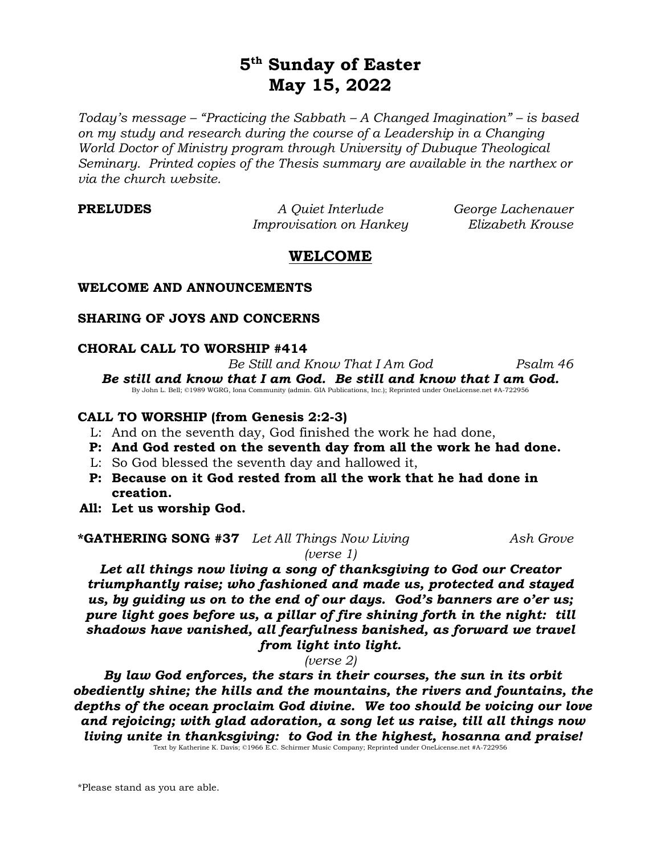# **5 th Sunday of Easter May 15, 2022**

*Today's message – "Practicing the Sabbath – A Changed Imagination" – is based on my study and research during the course of a Leadership in a Changing World Doctor of Ministry program through University of Dubuque Theological Seminary. Printed copies of the Thesis summary are available in the narthex or via the church website.* 

**PRELUDES** *A Quiet Interlude George Lachenauer Improvisation on Hankey Elizabeth Krouse*

## **WELCOME**

**WELCOME AND ANNOUNCEMENTS**

#### **SHARING OF JOYS AND CONCERNS**

#### **CHORAL CALL TO WORSHIP #414**

*Be Still and Know That I Am God Psalm 46 Be still and know that I am God. Be still and know that I am God.* By John L. Bell; ©1989 WGRG, Iona Community (admin. GIA Publications, Inc.); Reprinted under OneLicense.net #A-722956

#### **CALL TO WORSHIP (from Genesis 2:2-3)**

L: And on the seventh day, God finished the work he had done,

- **P: And God rested on the seventh day from all the work he had done.**
- L: So God blessed the seventh day and hallowed it,
- **P: Because on it God rested from all the work that he had done in creation.**
- **All: Let us worship God.**

**\*GATHERING SONG #37** *Let All Things Now Living Ash Grove*

*(verse 1)*

*Let all things now living a song of thanksgiving to God our Creator triumphantly raise; who fashioned and made us, protected and stayed us, by guiding us on to the end of our days. God's banners are o'er us; pure light goes before us, a pillar of fire shining forth in the night: till shadows have vanished, all fearfulness banished, as forward we travel from light into light.*

*(verse 2)*

*By law God enforces, the stars in their courses, the sun in its orbit obediently shine; the hills and the mountains, the rivers and fountains, the depths of the ocean proclaim God divine. We too should be voicing our love and rejoicing; with glad adoration, a song let us raise, till all things now living unite in thanksgiving:* to God in the highest, hosanna and praise!<br>Text by Katherine K. Davis; ©1966 E.C. Schirmer Music Company; Reprinted under OneLicense.net #A-722956

\*Please stand as you are able.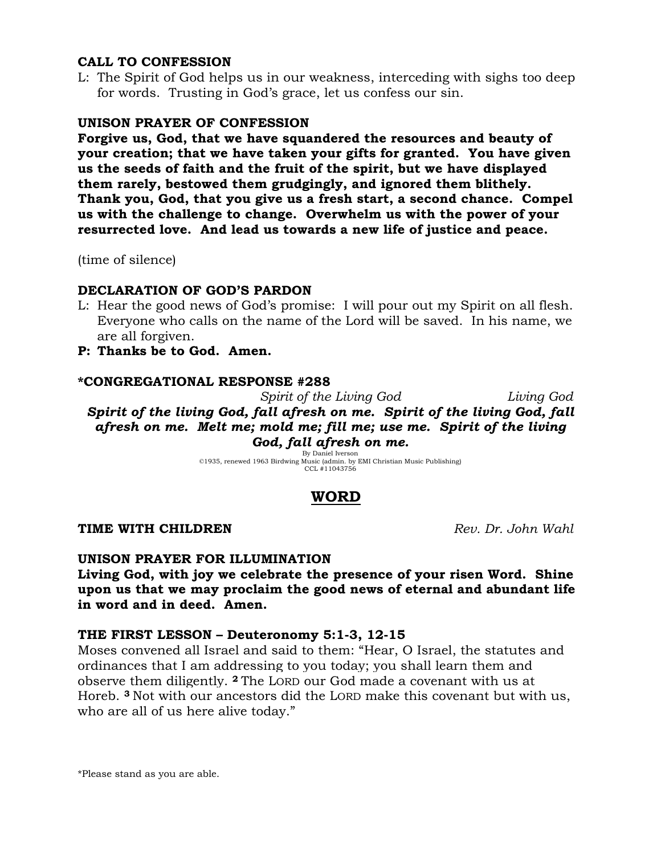#### **CALL TO CONFESSION**

L: The Spirit of God helps us in our weakness, interceding with sighs too deep for words. Trusting in God's grace, let us confess our sin.

#### **UNISON PRAYER OF CONFESSION**

**Forgive us, God, that we have squandered the resources and beauty of your creation; that we have taken your gifts for granted. You have given us the seeds of faith and the fruit of the spirit, but we have displayed them rarely, bestowed them grudgingly, and ignored them blithely. Thank you, God, that you give us a fresh start, a second chance. Compel us with the challenge to change. Overwhelm us with the power of your resurrected love. And lead us towards a new life of justice and peace.**

(time of silence)

## **DECLARATION OF GOD'S PARDON**

- L: Hear the good news of God's promise: I will pour out my Spirit on all flesh. Everyone who calls on the name of the Lord will be saved. In his name, we are all forgiven.
- **P: Thanks be to God. Amen.**

#### **\*CONGREGATIONAL RESPONSE #288**

*Spirit of the Living God Living God Spirit of the living God, fall afresh on me. Spirit of the living God, fall afresh on me. Melt me; mold me; fill me; use me. Spirit of the living God, fall afresh on me.* 

By Daniel Iverson<br>©1935, renewed 1963 Birdwing Music (admin. by EMI Christian Music Publishing)<br>©CL #11043756

# **WORD**

#### **TIME WITH CHILDREN** *Rev. Dr. John Wahl*

**UNISON PRAYER FOR ILLUMINATION** 

**Living God, with joy we celebrate the presence of your risen Word. Shine upon us that we may proclaim the good news of eternal and abundant life in word and in deed. Amen.**

## **THE FIRST LESSON – Deuteronomy 5:1-3, 12-15**

Moses convened all Israel and said to them: "Hear, O Israel, the statutes and ordinances that I am addressing to you today; you shall learn them and observe them diligently. **<sup>2</sup>** The LORD our God made a covenant with us at Horeb. **<sup>3</sup>** Not with our ancestors did the LORD make this covenant but with us, who are all of us here alive today."

\*Please stand as you are able.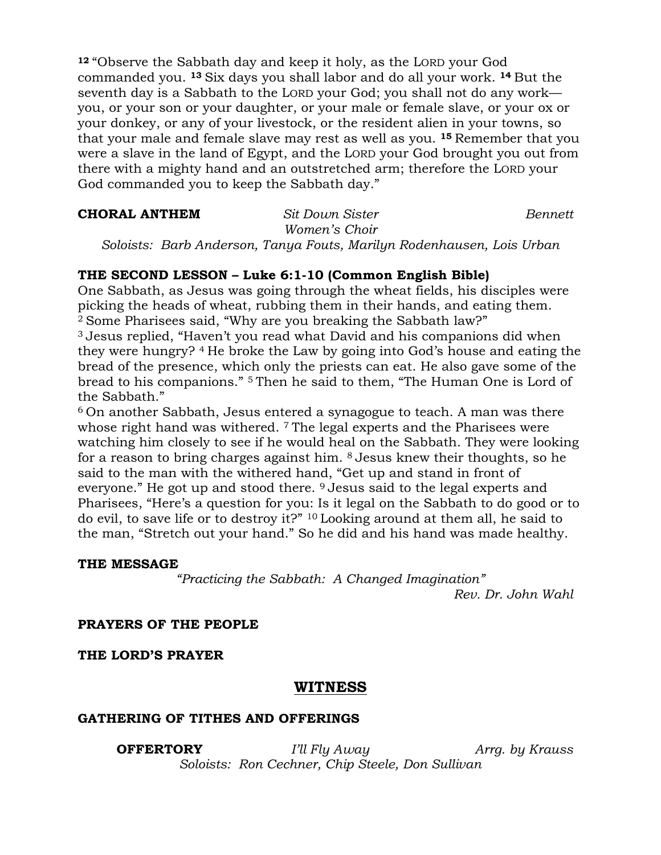**<sup>12</sup>** "Observe the Sabbath day and keep it holy, as the LORD your God commanded you. **<sup>13</sup>** Six days you shall labor and do all your work. **<sup>14</sup>** But the seventh day is a Sabbath to the LORD your God; you shall not do any work you, or your son or your daughter, or your male or female slave, or your ox or your donkey, or any of your livestock, or the resident alien in your towns, so that your male and female slave may rest as well as you. **<sup>15</sup>** Remember that you were a slave in the land of Egypt, and the LORD your God brought you out from there with a mighty hand and an outstretched arm; therefore the LORD your God commanded you to keep the Sabbath day."

**CHORAL ANTHEM** *Sit Down Sister Bennett Women's Choir Soloists: Barb Anderson, Tanya Fouts, Marilyn Rodenhausen, Lois Urban*

## **THE SECOND LESSON – Luke 6:1-10 (Common English Bible)**

One Sabbath, as Jesus was going through the wheat fields, his disciples were picking the heads of wheat, rubbing them in their hands, and eating them. <sup>2</sup> Some Pharisees said, "Why are you breaking the Sabbath law?" <sup>3</sup> Jesus replied, "Haven't you read what David and his companions did when they were hungry? <sup>4</sup> He broke the Law by going into God's house and eating the bread of the presence, which only the priests can eat. He also gave some of the bread to his companions." <sup>5</sup> Then he said to them, "The Human One is Lord of the Sabbath."

 $6$  On another Sabbath, Jesus entered a synagogue to teach. A man was there whose right hand was withered. <sup>7</sup> The legal experts and the Pharisees were watching him closely to see if he would heal on the Sabbath. They were looking for a reason to bring charges against him. <sup>8</sup> Jesus knew their thoughts, so he said to the man with the withered hand, "Get up and stand in front of everyone." He got up and stood there. <sup>9</sup> Jesus said to the legal experts and Pharisees, "Here's a question for you: Is it legal on the Sabbath to do good or to do evil, to save life or to destroy it?" <sup>10</sup> Looking around at them all, he said to the man, "Stretch out your hand." So he did and his hand was made healthy.

## **THE MESSAGE**

*"Practicing the Sabbath: A Changed Imagination"*

*Rev. Dr. John Wahl*

**PRAYERS OF THE PEOPLE**

**THE LORD'S PRAYER**

# **WITNESS**

## **GATHERING OF TITHES AND OFFERINGS**

**OFFERTORY** *I'll Fly Away Arrg. by Krauss Soloists: Ron Cechner, Chip Steele, Don Sullivan*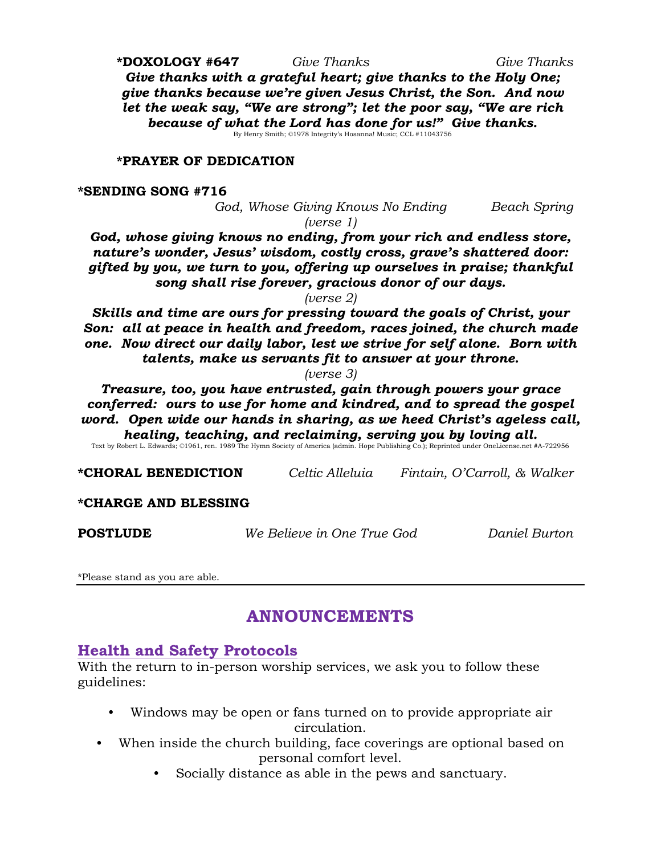**\*DOXOLOGY #647** *Give Thanks Give Thanks Give thanks with a grateful heart; give thanks to the Holy One; give thanks because we're given Jesus Christ, the Son. And now let the weak say, "We are strong"; let the poor say, "We are rich because of what the Lord has done for us!" Give thanks.* By Henry Smith; ©1978 Integrity's Hosanna! Music; CCL #11043756

#### **\*PRAYER OF DEDICATION**

#### **\*SENDING SONG #716**

*God, Whose Giving Knows No Ending Beach Spring (verse 1)*

*God, whose giving knows no ending, from your rich and endless store, nature's wonder, Jesus' wisdom, costly cross, grave's shattered door: gifted by you, we turn to you, offering up ourselves in praise; thankful song shall rise forever, gracious donor of our days.*

*(verse 2)*

*Skills and time are ours for pressing toward the goals of Christ, your Son: all at peace in health and freedom, races joined, the church made one. Now direct our daily labor, lest we strive for self alone. Born with talents, make us servants fit to answer at your throne.*

#### *(verse 3)*

*Treasure, too, you have entrusted, gain through powers your grace conferred: ours to use for home and kindred, and to spread the gospel word. Open wide our hands in sharing, as we heed Christ's ageless call, healing, teaching, and reclaiming, serving you by loving all.*<br>Text by Robert L. Edwards; ©1961, ren. 1989 The Hymn Society of America (admin. Hope Publishing Co.); Reprinted under OneLicense.net #A-722956

**\*CHORAL BENEDICTION** *Celtic Alleluia Fintain, O'Carroll, & Walker*

#### **\*CHARGE AND BLESSING**

**POSTLUDE** *We Believe in One True God Daniel Burton*

\*Please stand as you are able.

# **ANNOUNCEMENTS**

# **Health and Safety Protocols**

With the return to in-person worship services, we ask you to follow these guidelines:

- Windows may be open or fans turned on to provide appropriate air circulation.
- When inside the church building, face coverings are optional based on personal comfort level.
	- Socially distance as able in the pews and sanctuary.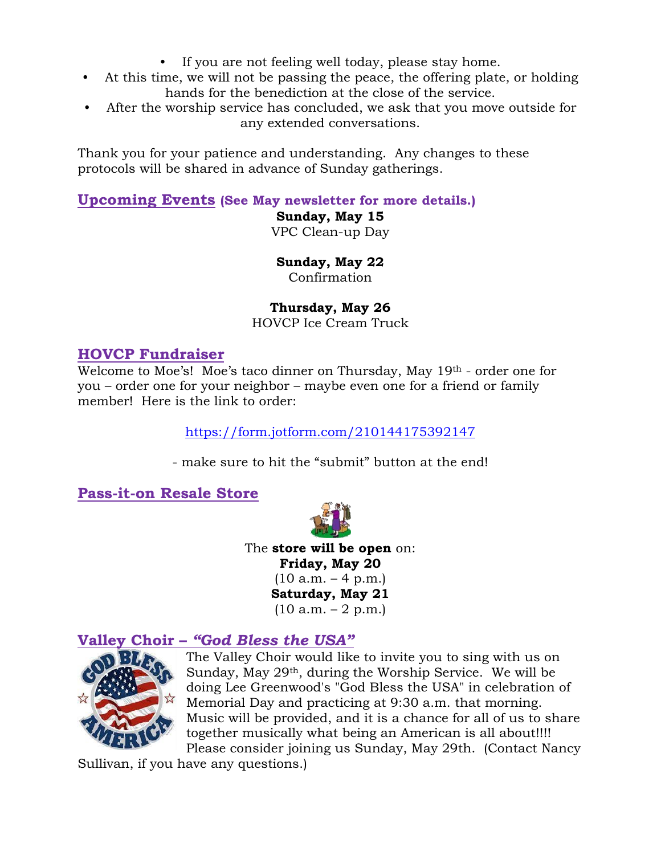- If you are not feeling well today, please stay home.
- At this time, we will not be passing the peace, the offering plate, or holding hands for the benediction at the close of the service.
- After the worship service has concluded, we ask that you move outside for any extended conversations.

Thank you for your patience and understanding. Any changes to these protocols will be shared in advance of Sunday gatherings.

**Upcoming Events (See May newsletter for more details.)**

**Sunday, May 15** VPC Clean-up Day

**Sunday, May 22** Confirmation

**Thursday, May 26** HOVCP Ice Cream Truck

# **HOVCP Fundraiser**

Welcome to Moe's! Moe's taco dinner on Thursday, May 19<sup>th</sup> - order one for you – order one for your neighbor – maybe even one for a friend or family member! Here is the link to order:

<https://form.jotform.com/210144175392147>

- make sure to hit the "submit" button at the end!

**Pass-it-on Resale Store**



The **store will be open** on: **Friday, May 20**  $(10 a.m. - 4 p.m.)$ **Saturday, May 21**  $(10 a.m. - 2 p.m.)$ 

# **Valley Choir –** *"God Bless the USA"*



The Valley Choir would like to invite you to sing with us on Sunday, May 29th, during the Worship Service. We will be doing Lee Greenwood's "God Bless the USA" in celebration of Memorial Day and practicing at 9:30 a.m. that morning. Music will be provided, and it is a chance for all of us to share together musically what being an American is all about!!!! Please consider joining us Sunday, May 29th. (Contact Nancy

Sullivan, if you have any questions.)